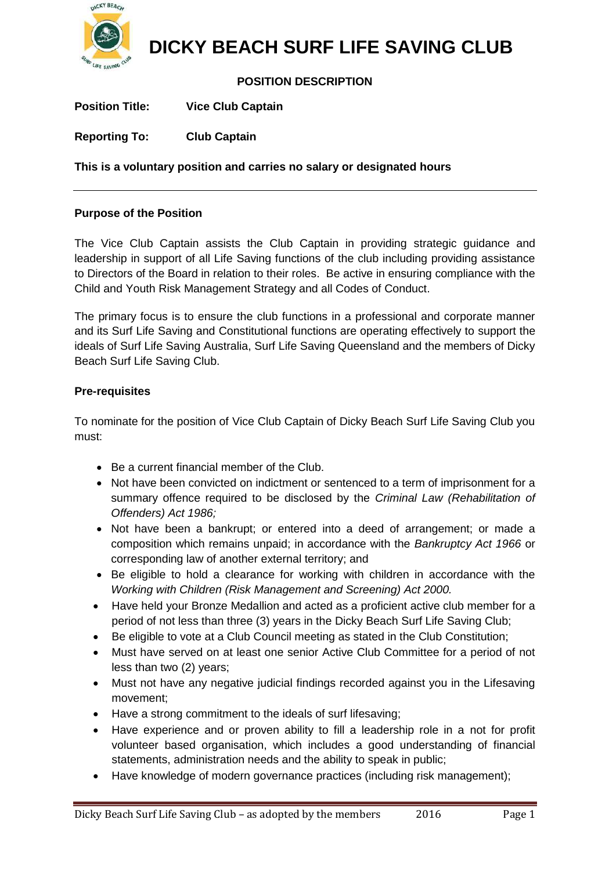

# **DICKY BEACH SURF LIFE SAVING CLUB**

# **POSITION DESCRIPTION**

**Position Title: Vice Club Captain** 

**Reporting To: Club Captain**

**This is a voluntary position and carries no salary or designated hours**

#### **Purpose of the Position**

The Vice Club Captain assists the Club Captain in providing strategic guidance and leadership in support of all Life Saving functions of the club including providing assistance to Directors of the Board in relation to their roles. Be active in ensuring compliance with the Child and Youth Risk Management Strategy and all Codes of Conduct.

The primary focus is to ensure the club functions in a professional and corporate manner and its Surf Life Saving and Constitutional functions are operating effectively to support the ideals of Surf Life Saving Australia, Surf Life Saving Queensland and the members of Dicky Beach Surf Life Saving Club.

#### **Pre-requisites**

To nominate for the position of Vice Club Captain of Dicky Beach Surf Life Saving Club you must:

- Be a current financial member of the Club.
- Not have been convicted on indictment or sentenced to a term of imprisonment for a summary offence required to be disclosed by the *Criminal Law (Rehabilitation of Offenders) Act 1986;*
- Not have been a bankrupt; or entered into a deed of arrangement; or made a composition which remains unpaid; in accordance with the *Bankruptcy Act 1966* or corresponding law of another external territory; and
- Be eligible to hold a clearance for working with children in accordance with the *Working with Children (Risk Management and Screening) Act 2000.*
- Have held your Bronze Medallion and acted as a proficient active club member for a period of not less than three (3) years in the Dicky Beach Surf Life Saving Club;
- Be eligible to vote at a Club Council meeting as stated in the Club Constitution;
- Must have served on at least one senior Active Club Committee for a period of not less than two (2) years;
- Must not have any negative judicial findings recorded against you in the Lifesaving movement;
- Have a strong commitment to the ideals of surf lifesaving;
- Have experience and or proven ability to fill a leadership role in a not for profit volunteer based organisation, which includes a good understanding of financial statements, administration needs and the ability to speak in public;
- Have knowledge of modern governance practices (including risk management);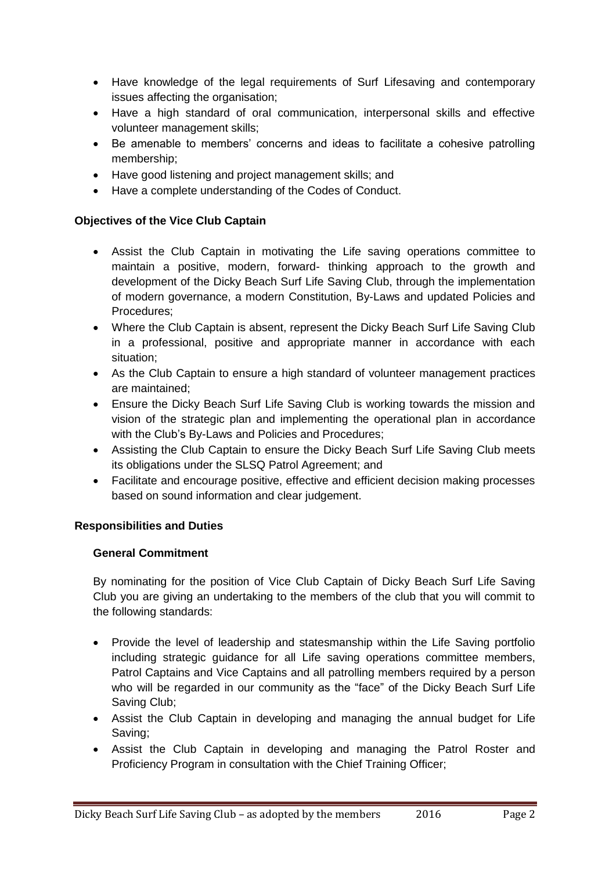- Have knowledge of the legal requirements of Surf Lifesaving and contemporary issues affecting the organisation;
- Have a high standard of oral communication, interpersonal skills and effective volunteer management skills;
- Be amenable to members' concerns and ideas to facilitate a cohesive patrolling membership;
- Have good listening and project management skills; and
- Have a complete understanding of the Codes of Conduct.

# **Objectives of the Vice Club Captain**

- Assist the Club Captain in motivating the Life saving operations committee to maintain a positive, modern, forward- thinking approach to the growth and development of the Dicky Beach Surf Life Saving Club, through the implementation of modern governance, a modern Constitution, By-Laws and updated Policies and Procedures;
- Where the Club Captain is absent, represent the Dicky Beach Surf Life Saving Club in a professional, positive and appropriate manner in accordance with each situation;
- As the Club Captain to ensure a high standard of volunteer management practices are maintained;
- Ensure the Dicky Beach Surf Life Saving Club is working towards the mission and vision of the strategic plan and implementing the operational plan in accordance with the Club's By-Laws and Policies and Procedures;
- Assisting the Club Captain to ensure the Dicky Beach Surf Life Saving Club meets its obligations under the SLSQ Patrol Agreement; and
- Facilitate and encourage positive, effective and efficient decision making processes based on sound information and clear judgement.

# **Responsibilities and Duties**

# **General Commitment**

By nominating for the position of Vice Club Captain of Dicky Beach Surf Life Saving Club you are giving an undertaking to the members of the club that you will commit to the following standards:

- Provide the level of leadership and statesmanship within the Life Saving portfolio including strategic guidance for all Life saving operations committee members, Patrol Captains and Vice Captains and all patrolling members required by a person who will be regarded in our community as the "face" of the Dicky Beach Surf Life Saving Club;
- Assist the Club Captain in developing and managing the annual budget for Life Saving;
- Assist the Club Captain in developing and managing the Patrol Roster and Proficiency Program in consultation with the Chief Training Officer;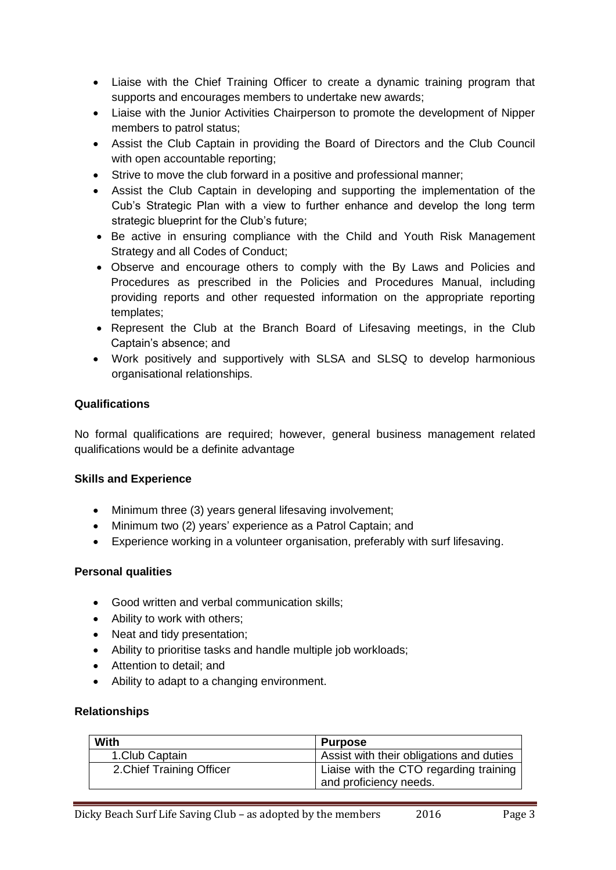- Liaise with the Chief Training Officer to create a dynamic training program that supports and encourages members to undertake new awards;
- Liaise with the Junior Activities Chairperson to promote the development of Nipper members to patrol status;
- Assist the Club Captain in providing the Board of Directors and the Club Council with open accountable reporting;
- Strive to move the club forward in a positive and professional manner;
- Assist the Club Captain in developing and supporting the implementation of the Cub's Strategic Plan with a view to further enhance and develop the long term strategic blueprint for the Club's future;
- Be active in ensuring compliance with the Child and Youth Risk Management Strategy and all Codes of Conduct;
- Observe and encourage others to comply with the By Laws and Policies and Procedures as prescribed in the Policies and Procedures Manual, including providing reports and other requested information on the appropriate reporting templates;
- Represent the Club at the Branch Board of Lifesaving meetings, in the Club Captain's absence; and
- Work positively and supportively with SLSA and SLSQ to develop harmonious organisational relationships.

# **Qualifications**

No formal qualifications are required; however, general business management related qualifications would be a definite advantage

# **Skills and Experience**

- Minimum three (3) years general lifesaving involvement;
- Minimum two (2) years' experience as a Patrol Captain; and
- Experience working in a volunteer organisation, preferably with surf lifesaving.

# **Personal qualities**

- Good written and verbal communication skills;
- Ability to work with others:
- Neat and tidy presentation;
- Ability to prioritise tasks and handle multiple job workloads;
- Attention to detail: and
- Ability to adapt to a changing environment.

#### **Relationships**

| With                      | <b>Purpose</b>                                                   |
|---------------------------|------------------------------------------------------------------|
| 1. Club Captain           | Assist with their obligations and duties                         |
| 2. Chief Training Officer | Liaise with the CTO regarding training<br>and proficiency needs. |